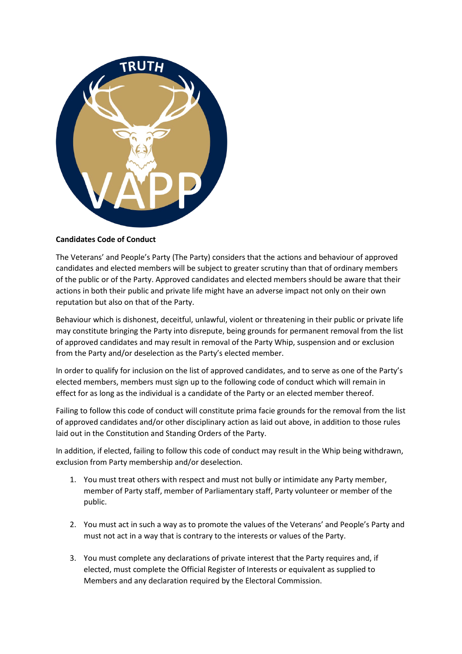

## **Candidates Code of Conduct**

The Veterans' and People's Party (The Party) considers that the actions and behaviour of approved candidates and elected members will be subject to greater scrutiny than that of ordinary members of the public or of the Party. Approved candidates and elected members should be aware that their actions in both their public and private life might have an adverse impact not only on their own reputation but also on that of the Party.

Behaviour which is dishonest, deceitful, unlawful, violent or threatening in their public or private life may constitute bringing the Party into disrepute, being grounds for permanent removal from the list of approved candidates and may result in removal of the Party Whip, suspension and or exclusion from the Party and/or deselection as the Party's elected member.

In order to qualify for inclusion on the list of approved candidates, and to serve as one of the Party's elected members, members must sign up to the following code of conduct which will remain in effect for as long as the individual is a candidate of the Party or an elected member thereof.

Failing to follow this code of conduct will constitute prima facie grounds for the removal from the list of approved candidates and/or other disciplinary action as laid out above, in addition to those rules laid out in the Constitution and Standing Orders of the Party.

In addition, if elected, failing to follow this code of conduct may result in the Whip being withdrawn, exclusion from Party membership and/or deselection.

- 1. You must treat others with respect and must not bully or intimidate any Party member, member of Party staff, member of Parliamentary staff, Party volunteer or member of the public.
- 2. You must act in such a way as to promote the values of the Veterans' and People's Party and must not act in a way that is contrary to the interests or values of the Party.
- 3. You must complete any declarations of private interest that the Party requires and, if elected, must complete the Official Register of Interests or equivalent as supplied to Members and any declaration required by the Electoral Commission.